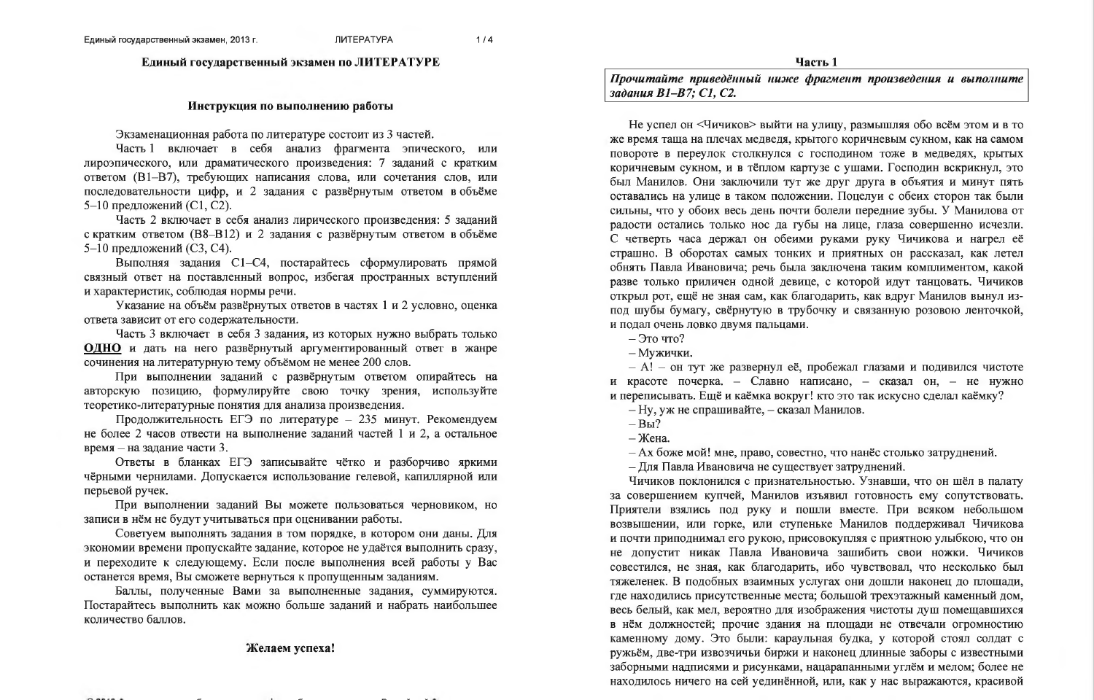Единый государственный экзамен по ЛИТЕРАТУРЕ

### Инструкция по выполнению работы

Экзаменационная работа по литературе состоит из 3 частей.

Часть 1 включает в себя анализ фрагмента эпического, или лироэпического, или драматического произведения: 7 заданий с кратким ответом (B1-B7), требующих написания слова, или сочетания слов, или последовательности цифр, и 2 задания с развёрнутым ответом в объёме 5-10 предложений (С1, С2).

Часть 2 включает в себя анализ лирического произведения: 5 заданий с кратким ответом (В8-В12) и 2 задания с развёрнутым ответом в объёме 5-10 предложений (СЗ, С4).

Выполняя задания С1-С4, постарайтесь сформулировать прямой связный ответ на поставленный вопрос, избегая пространных вступлений и характеристик, соблюдая нормы речи.

Указание на объём развёрнутых ответов в частях 1 и 2 условно, оценка ответа зависит от его содержательности.

Часть 3 включает в себя 3 задания, из которых нужно выбрать только ОДНО и дать на него развёрнутый аргументированный ответ в жанре сочинения на литературную тему объёмом не менее 200 слов.

При выполнении заланий с развёрнутым ответом опирайтесь на авторскую позицию, формулируйте свою точку зрения, используйте теоретико-литературные понятия для анализа произведения.

Продолжительность ЕГЭ по литературе - 235 минут. Рекомендуем не более 2 часов отвести на выполнение заданий частей 1 и 2, а остальное время - на задание части 3.

Ответы в бланках ЕГЭ записывайте чётко и разборчиво яркими чёрными чернилами. Допускается использование гелевой, капиллярной или перьевой ручек.

При выполнении заданий Вы можете пользоваться черновиком, но записи в нём не будут учитываться при оценивании работы.

Советуем выполнять задания в том порядке, в котором они даны. Для экономии времени пропускайте задание, которое не удаётся выполнить сразу, и переходите к следующему. Если после выполнения всей работы у Вас останется время, Вы сможете вернуться к пропущенным заданиям.

Баллы, полученные Вами за выполненные задания, суммируются. Постарайтесь выполнить как можно больше заланий и набрать наибольшее количество баллов.

## Желаем успеха!

Часть 1

Прочитайте приведённый ниже фрагмент произведения и выполните задания В1-В7; С1, С2.

Не успел он <Чичиков> выйти на улицу, размышляя обо всём этом и в то же время таща на плечах медведя, крытого коричневым сукном, как на самом повороте в переулок столкнулся с господином тоже в медведях, крытых коричневым сукном, и в тёплом картузе с ушами. Господин вскрикнул, это был Манилов. Они заключили тут же друг друга в объятия и минут пять оставались на улице в таком положении. Поцелуи с обеих сторон так были сильны, что у обоих весь день почти болели передние зубы. У Манилова от радости остались только нос да губы на лице, глаза совершенно исчезли. С четверть часа держал он обеими руками руку Чичикова и нагрел её страшно. В оборотах самых тонких и приятных он рассказал, как летел обнять Павла Ивановича; речь была заключена таким комплиментом, какой разве только приличен одной девице, с которой идут танцовать. Чичиков открыл рот, ещё не зная сам, как благодарить, как вдруг Манилов вынул изпод шубы бумагу, свёрнутую в трубочку и связанную розовою ленточкой, и подал очень ловко двумя пальцами.

 $-3$ TO 4TO?

- Мужички.

- А! - он тут же развернул её, пробежал глазами и подивился чистоте и красоте почерка, - Славно написано, - сказал он, - не нужно и переписывать. Ещё и каёмка вокруг! кто это так искусно сделал каёмку?

- Ну, уж не спрашивайте, - сказал Манилов.

 $-B<sub>bl</sub>$ ?

– Жена.

– Ах боже мой! мне, право, совестно, что нанёс столько затруднений.

- Для Павла Ивановича не существует затруднений.

Чичиков поклонился с признательностью. Узнавши, что он шёл в палату за совершением купчей. Манилов изъявил готовность ему сопутствовать. Приятели взялись под руку и пошли вместе. При всяком небольшом возвышении, или горке, или ступеньке Манилов поддерживал Чичикова и почти приподнимал его рукою, присовокупляя с приятною улыбкою, что он не допустит никак Павла Ивановича зашибить свои ножки. Чичиков совестился, не зная, как благодарить, ибо чувствовал, что несколько был тяжеленек. В подобных взаимных услугах они дошли наконец до площади, где находились присутственные места; большой трехэтажный каменный дом, весь белый, как мел, вероятно для изображения чистоты душ помешавшихся в нём должностей; прочие здания на площади не отвечали огромностию каменному дому. Это были: караульная будка, у которой стоял солдат с ружьём, две-три извозчичьи биржи и наконец длинные заборы с известными заборными надписями и рисунками, нацарапанными углём и мелом; более не находилось ничего на сей уединённой, или, как у нас выражаются, красивой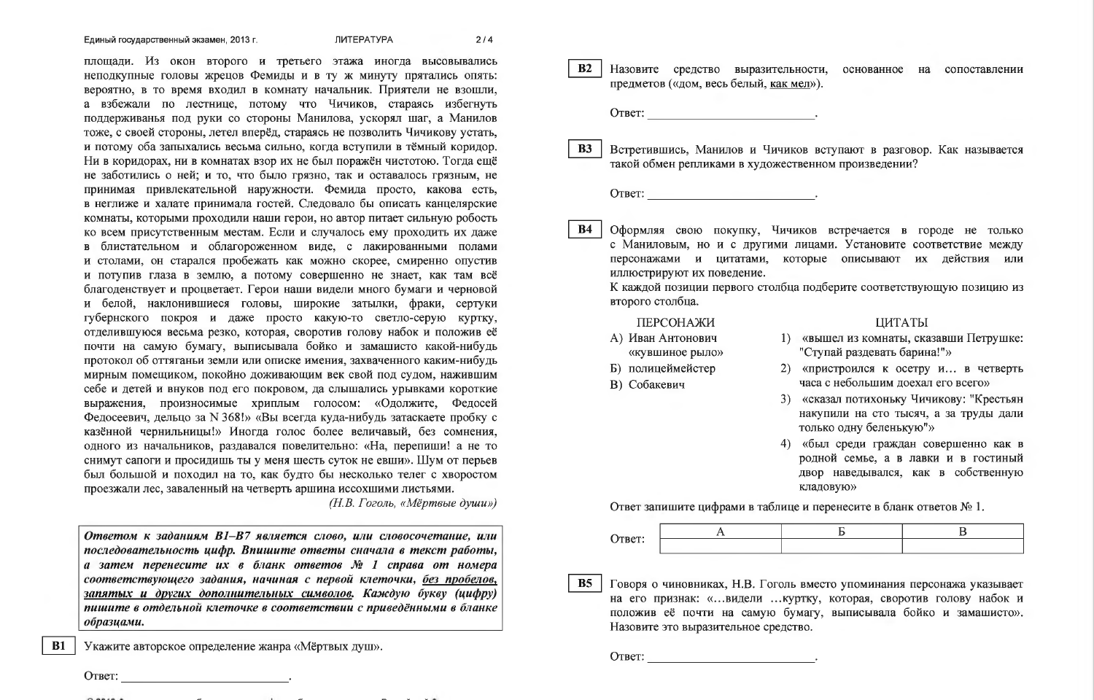площади. Из окон второго и третьего этажа иногда высовывались неподкупные головы жрецов Фемиды и в ту ж минуту прятались опять: вероятно, в то время входил в комнату начальник. Приятели не взошли, а взбежали по лестнице, потому что Чичиков, стараясь избегнуть поллерживанья под руки со стороны Манилова, ускорял шаг, а Манилов тоже, с своей стороны, летел вперёд, стараясь не позволить Чичикову устать, и потому оба запыхались весьма сильно, когда вступили в тёмный коридор. Ни в коридорах, ни в комнатах взор их не был поражён чистотою. Тогда ещё не заботились о ней; и то, что было грязно, так и оставалось грязным, не принимая привлекательной наружности. Фемида просто, какова есть, в неглиже и халате принимала гостей. Следовало бы описать канцелярские комнаты, которыми проходили наши герои, но автор питает сильную робость ко всем присутственным местам. Если и случалось ему проходить их даже в блистательном и облагороженном виде, с лакированными полами и столами, он старался пробежать как можно скорее, смиренно опустив и потупив глаза в землю, а потому совершенно не знает, как там всё благоденствует и процветает. Герои наши видели много бумаги и черновой и белой, наклонившиеся головы, широкие затылки, фраки, сертуки губернского покроя и даже просто какую-то светло-серую куртку, отделившуюся весьма резко, которая, своротив голову набок и положив её почти на самую бумагу, выписывала бойко и замашисто какой-нибудь протокол об оттяганьи земли или описке имения, захваченного каким-нибудь мирным помещиком, покойно доживающим век свой под судом, нажившим себе и детей и внуков под его покровом, да слышались урывками короткие выражения, произносимые хриплым голосом: «Одолжите, Федосей Федосеевич, дельцо за N 368!» «Вы всегда куда-нибудь затаскаете пробку с казённой чернильницы!» Иногда голос более величавый, без сомнения, одного из начальников, раздавался повелительно: «На, перепиши! а не то снимут сапоги и просидишь ты у меня шесть суток не евши». Шум от перьев был большой и походил на то, как будто бы несколько телег с хворостом проезжали лес, заваленный на четверть аршина иссохшими листьями.

(Н.В. Гоголь, «Мёртвые души»)

Ответом к заданиям В1-В7 является слово, или словосочетание, или последовательность цифр. Впишите ответы сначала в текст работы, а затем перенесите их в бланк ответов № 1 справа от номера соответствующего задания, начиная с первой клеточки, без пробелов, запятых и других дополнительных символов. Каждую букву (иифру) пишите в отдельной клеточке в соответствии с приведёнными в бланке образиами.

Укажите авторское определение жанра «Мёртвых душ».

 $2/4$ 

 $B2$ Назовите средство выразительности, основанное на сопоставлении предметов («дом, весь белый, как мел»).

Встретившись, Манилов и Чичиков вступают в разговор. Как называется  $B3$ такой обмен репликами в художественном произведении?

Ответ: на полно по себя в себя с после с себя с по себя с по себя с по себя с по себя с по себя с по себя с по

Оформляя свою покупку, Чичиков встречается в городе не только  $B4$ с Маниловым, но и с другими лицами. Установите соответствие между персонажами и цитатами, которые описывают их действия или иллюстрируют их поведение.

К каждой позиции первого столбца подберите соответствующую позицию из второго столбца.

### ПЕРСОНАЖИ

- А) Иван Антонович «кувшиное рыло»
- Б) полицеймейстер
- В) Собакевич

## **ІІИТАТЫ**

- 1) «вышел из комнаты, сказавши Петрушке: "Ступай раздевать барина!"»
- 2) «пристроился к осетру и... в четверть часа с небольшим лоехал его всего»
- 3) «сказал потихоньку Чичикову: "Крестьян накупили на сто тысяч, а за труды дали только одну беленькую"»
- 4) «был среди граждан совершенно как в родной семье, а в лавки и в гостиный двор наведывался, как в собственную кладовую»

Ответ запишите цифрами в таблице и перенесите в бланк ответов № 1.

Говоря о чиновниках, Н.В. Гоголь вместо упоминания персонажа указывает **B5** на его признак: «...видели ...куртку, которая, своротив голову набок и положив её почти на самую бумагу, выписывала бойко и замашисто». Назовите это выразительное средство.

Ответ: and the contract of the contract of the contract of

Ответ: по последните село в село в село в село в село в село в село в село в село в село в село в село в село в

 $B1$ 

**Contract Contract Contract**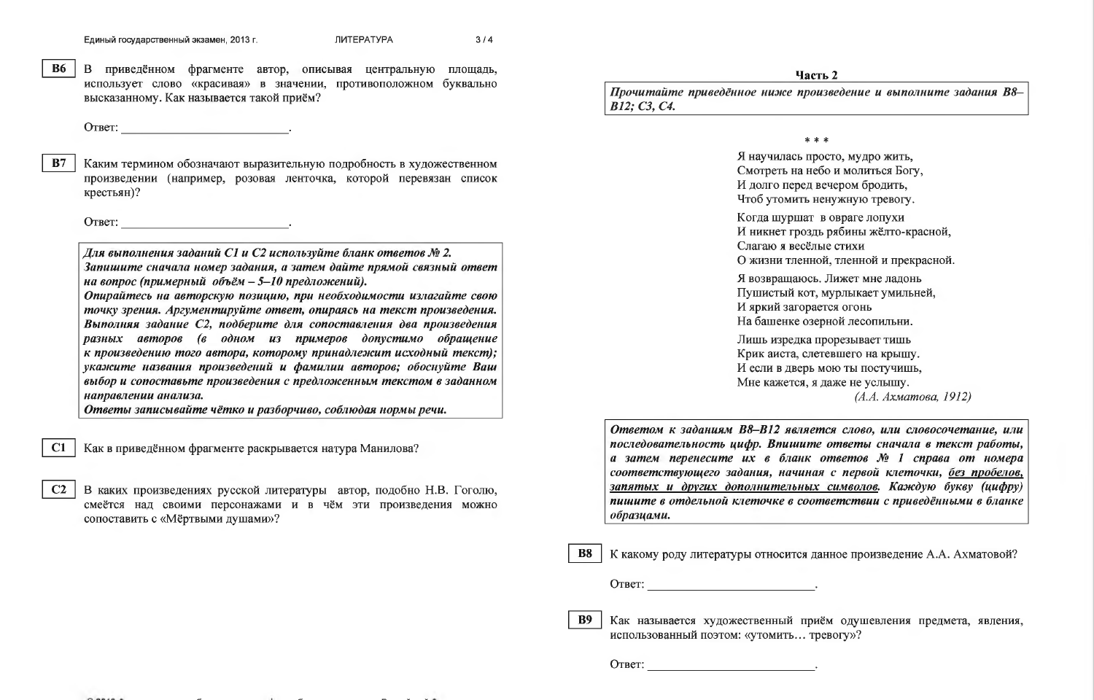**B6** В приведённом фрагменте автор, описывая центральную площадь, использует слово «красивая» в значении, противоположном буквально высказанному. Как называется такой приём?

Каким термином обозначают выразительную подробность в художественном произведении (например, розовая ленточка, которой перевязан список крестьян)?

Ответ: При последните село в село с последните село с последните село с последните село с последните село с по

 $B7$ 

Для выполнения заданий С1 и С2 используйте бланк ответов № 2. Запишите сначала номер задания, а затем дайте прямой связный ответ на вопрос (примерный объём - 5-10 предложений).

Опирайтесь на авторскую позицию, при необходимости излагайте свою точку зрения. Аргументируйте ответ, опираясь на текст произведения. Выполняя задание С2, подберите для сопоставления два произведения разных авторов (в одном из примеров допустимо обращение к произведению того автора, которому принадлежит исходный текст); укажите названия произведений и фамилии авторов; обоснуйте Ваш выбор и сопоставьте произведения с предложенным текстом в заданном направлении анализа.

Ответы записывайте чётко и разборчиво, соблюдая нормы речи.

- $C1$ Как в приведённом фрагменте раскрывается натура Манилова?
- В каких произведениях русской литературы автор, подобно Н.В. Гоголю,  $C2$ смеётся над своими персонажами и в чём эти произведения можно сопоставить с «Мёртвыми душами»?

 $* * *$ 

Я научилась просто, мудро жить, Смотреть на небо и молиться Богу, И долго перед вечером бродить, Чтоб утомить ненужную тревогу.

Когда шуршат в овраге лопухи И никнет гроздь рябины жёлто-красной, Слагаю я весёлые стихи О жизни тленной, тленной и прекрасной.

Я возвращаюсь. Лижет мне ладонь Пушистый кот, мурлыкает умильней, И яркий загорается огонь На башенке озерной лесопильни.

Лишь изредка прорезывает тишь Крик аиста, слетевшего на крышу. И если в дверь мою ты постучишь, Мне кажется, я даже не услышу.

(А.А. Ахматова, 1912)

Ответом к заданиям В8-В12 является слово, или словосочетание, или последовательность цифр. Впишите ответы сначала в текст работы. а затем перенесите их в бланк ответов № 1 справа от номера соответствующего задания, начиная с первой клеточки, без пробелов, запятых и других дополнительных символов. Каждую букву (иифру) пишите в отдельной клеточке в соответствии с приведёнными в бланке образцами.

К какому роду литературы относится данное произведение А.А. Ахматовой? **B8** 

Ответ: что с последните село с последните село с последните село с последните село с последните село с последните с

Как называется художественный приём одушевления предмета, явления, **B9** использованный поэтом: «утомить... тревогу»?

Ответ: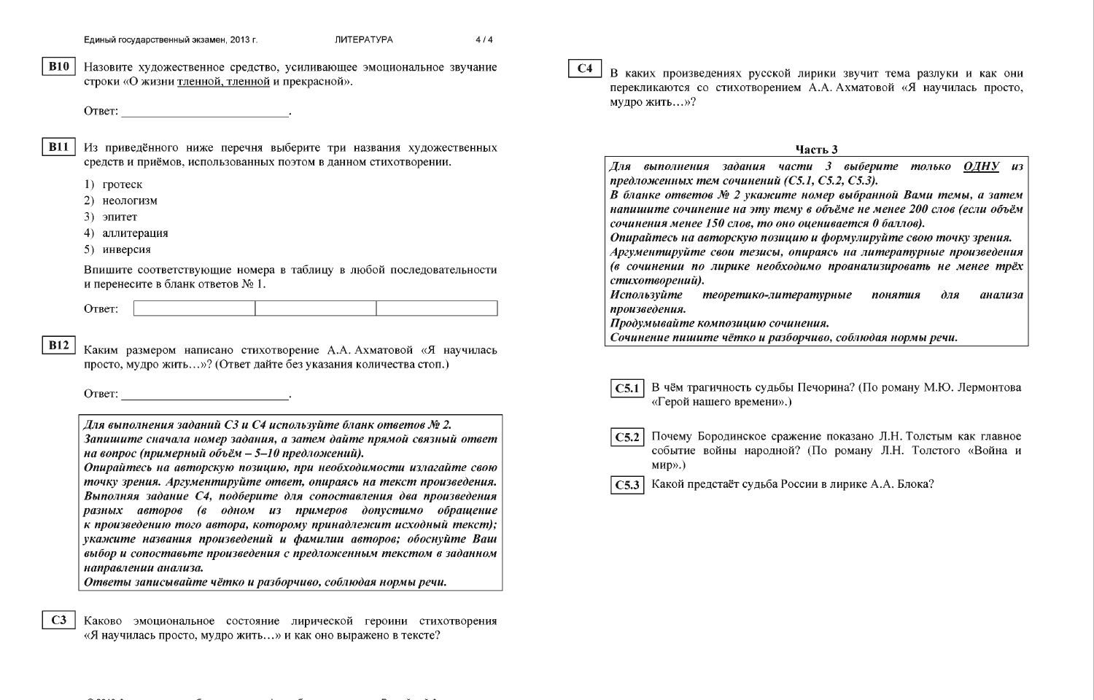Ответ: При последните село в село с при последните село с при последните село с при последните село с при последните село с при последните село с при последните село с при последните село с при последните село с при послед

строки «О жизни тленной, тленной и прекрасной».

 $4/4$ 

В каких произведениях русской лирики звучит тема разлуки и как они перекликаются со стихотворением А.А. Ахматовой «Я научилась просто, мудро жить...»?

## Часть 3

|              | Для выполнения задания части 3 выберите только <u>ОДНУ</u> из |  |  |  |  |
|--------------|---------------------------------------------------------------|--|--|--|--|
|              | предложенных тем сочинений (С5.1, С5.2, С5.3).                |  |  |  |  |
| $\mathbf{r}$ |                                                               |  |  |  |  |

В бланке ответов № 2 укажите номер выбранной Вами темы, а затем напишите сочинение на эту тему в объёме не менее 200 слов (если объём сочинения менее 150 слов, то оно оценивается 0 баллов).

Опирайтесь на авторскую позицию и формулируйте свою точку зрения. Аргументируйте свои тезисы, опираясь на литературные произведения

(в сочинении по лирике необходимо проанализировать не менее трёх стихотворений).

Используйте теоретико-литературные понятия  $\partial \overline{u}$ анализа произведения.

Продумывайте композицию сочинения.

Сочинение пишите чётко и разборчиво, соблюдая нормы речи.

- В чём трагичность судьбы Печорина? (По роману М.Ю. Лермонтова  $C5.1$ «Герой нашего времени».)
- Почему Бородинское сражение показано Л.Н. Толстым как главное  $C<sub>5.2</sub>$ событие войны народной? (По роману Л.Н. Толстого «Война и  $MHD$ .)

Какой предстаёт судьба России в лирике А.А. Блока?  $C5.3$ 

|  |  |  |                                                                  |  | В11 Из приведённого ниже перечня выберите три названия художественных |  |
|--|--|--|------------------------------------------------------------------|--|-----------------------------------------------------------------------|--|
|  |  |  | средств и приёмов, использованных поэтом в данном стихотворении. |  |                                                                       |  |

1) гротеск

 $R10$ 

**B12** 

- 2) неологизм
- 3) эпитет
- 4) аллитерация
- 5) инверсия

Впишите соответствующие номера в таблицу в любой последовательности и перенесите в бланк ответов № 1.

Назовите художественное средство, усиливающее эмоциональное звучание

Ответ:

Каким размером написано стихотворение А.А. Ахматовой «Я научилась просто, мудро жить...»? (Ответ дайте без указания количества стоп.)

Ответ: что с последните село с последните село с последните село с последните село с последните село с последните с

Для выполнения заданий СЗ и С4 используйте бланк ответов № 2. Запишите сначала номер задания, а затем дайте прямой связный ответ на вопрос (примерный объём - 5-10 предложений).

Опирайтесь на авторскую позицию, при необходимости излагайте свою точку зрения. Аргументируйте ответ, опираясь на текст произведения. Выполняя задание С4, подберите для сопоставления два произведения разных авторов (в одном из примеров допустимо обращение к произведению того автора, которому принадлежит исходный текст); укажите названия произведений и фамилии авторов; обоснуйте Ваш выбор и сопоставьте произведения с предложенным текстом в заданном направлении анализа.

Ответы записывайте чётко и разборчиво, соблюдая нормы речи.

Каково эмоциональное состояние лирической героини стихотворения  $C3$ «Я научилась просто, мудро жить...» и как оно выражено в тексте?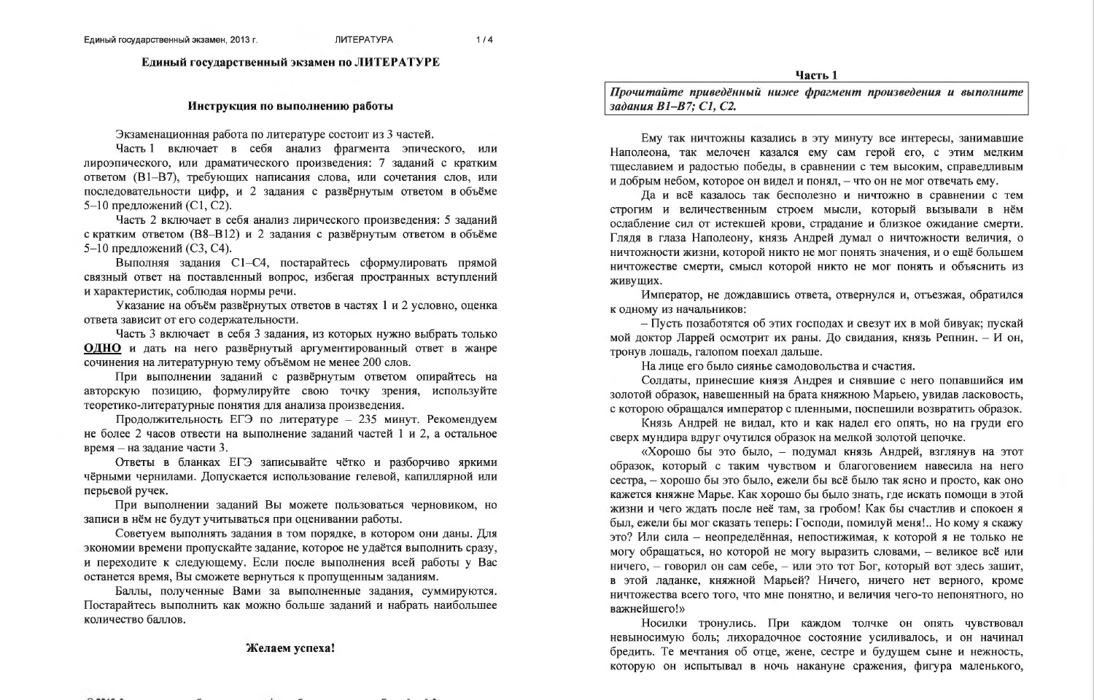Единый государственный экзамен по ЛИТЕРАТУРЕ

### Инструкция по выполнению работы

Экзаменационная работа по литературе состоит из 3 частей.

Часть 1 включает в себя анализ фрагмента эпического, или лироэпического, или драматического произведения: 7 заданий с кратким ответом (B1-B7), требующих написания слова, или сочетания слов, или последовательности цифр, и 2 задания с развёрнутым ответом в объёме 5-10 предложений (С1, С2).

Часть 2 включает в себя анализ лирического произведения: 5 заданий с кратким ответом (В8-В12) и 2 задания с развёрнутым ответом в объёме 5-10 предложений (СЗ, С4).

Выполняя задания С1-С4, постарайтесь сформулировать прямой связный ответ на поставленный вопрос, избегая пространных вступлений и характеристик, соблюдая нормы речи.

Указание на объём развёрнутых ответов в частях 1 и 2 условно, оценка ответа зависит от его содержательности.

Часть 3 включает в себя 3 задания, из которых нужно выбрать только ОДНО и дать на него развёрнутый аргументированный ответ в жанре сочинения на литературную тему объёмом не менее 200 слов.

При выполнении заданий с развёрнутым ответом опирайтесь на авторскую позицию, формулируйте свою точку зрения, используйте теоретико-литературные понятия для анализа произведения.

Продолжительность ЕГЭ по литературе - 235 минут. Рекомендуем не более 2 часов отвести на выполнение заданий частей 1 и 2, а остальное время - на задание части 3.

Ответы в бланках ЕГЭ записывайте чётко и разборчиво яркими чёрными чернилами. Допускается использование гелевой, капиллярной или перьевой ручек.

При выполнении заданий Вы можете пользоваться черновиком, но записи в нём не будут учитываться при оценивании работы.

Советуем выполнять задания в том порядке, в котором они даны. Для экономии времени пропускайте задание, которое не удаётся выполнить сразу, и переходите к следующему. Если после выполнения всей работы у Вас останется время, Вы сможете вернуться к пропущенным заданиям.

Баллы, полученные Вами за выполненные задания, суммируются. Постарайтесь выполнить как можно больше заланий и набрать наибольшее количество баллов.

### Желаем успеха!

Часть 1

Прочитайте приведённый ниже фрагмент произведения и выполните задания В1-В7; С1, С2.

Ему так ничтожны казались в эту минуту все интересы, занимавшие Наполеона, так мелочен казался ему сам герой его, с этим мелким тщеславием и радостью победы, в сравнении с тем высоким, справедливым и добрым небом, которое он видел и понял, - что он не мог отвечать ему.

Да и всё казалось так бесполезно и ничтожно в сравнении с тем строгим и величественным строем мысли, который вызывали в нём ослабление сил от истекшей крови, страдание и близкое ожидание смерти. Глядя в глаза Наполеону, князь Андрей думал о ничтожности величия, о ничтожности жизни, которой никто не мог понять значения, и о ещё большем ничтожестве смерти, смысл которой никто не мог понять и объяснить из живущих.

Император, не дождавшись ответа, отвернулся и, отъезжая, обратился к одному из начальников:

- Пусть позаботятся об этих господах и свезут их в мой бивуак; пускай мой доктор Ларрей осмотрит их раны. До свидания, князь Репнин, - И он, тронув лошадь, галопом поехал дальше.

На лице его было сиянье самодовольства и счастия.

Солдаты, принесшие князя Андрея и снявшие с него попавшийся им золотой образок, навешенный на брата княжною Марьею, увидав ласковость, с которою обращался император с пленными, поспешили возвратить образок.

Князь Андрей не видал, кто и как надел его опять, но на груди его сверх мундира вдруг очутился образок на мелкой золотой цепочке.

«Хорошо бы это было, - подумал князь Андрей, взглянув на этот образок, который с таким чувством и благоговением навесила на него сестра, - хорошо бы это было, ежели бы всё было так ясно и просто, как оно кажется княжне Марье. Как хорошо бы было знать, где искать помощи в этой жизни и чего ждать после неё там, за гробом! Как бы счастлив и спокоен я был, ежели бы мог сказать теперь: Господи, помилуй меня!.. Но кому я скажу это? Или сила - неопределённая, непостижимая, к которой я не только не могу обращаться, но которой не могу выразить словами, - великое всё или ничего. - говорил он сам себе. - или это тот Бог, который вот злесь зашит. в этой ладанке, княжной Марьей? Ничего, ничего нет верного, кроме ничтожества всего того, что мне понятно, и величия чего-то непонятного, но важнейшего!»

Носилки тронулись. При каждом толчке он опять чувствовал невыносимую боль; лихорадочное состояние усиливалось, и он начинал бредить. Те мечтания об отце, жене, сестре и будущем сыне и нежность, которую он испытывал в ночь накануне сражения, фигура маленького,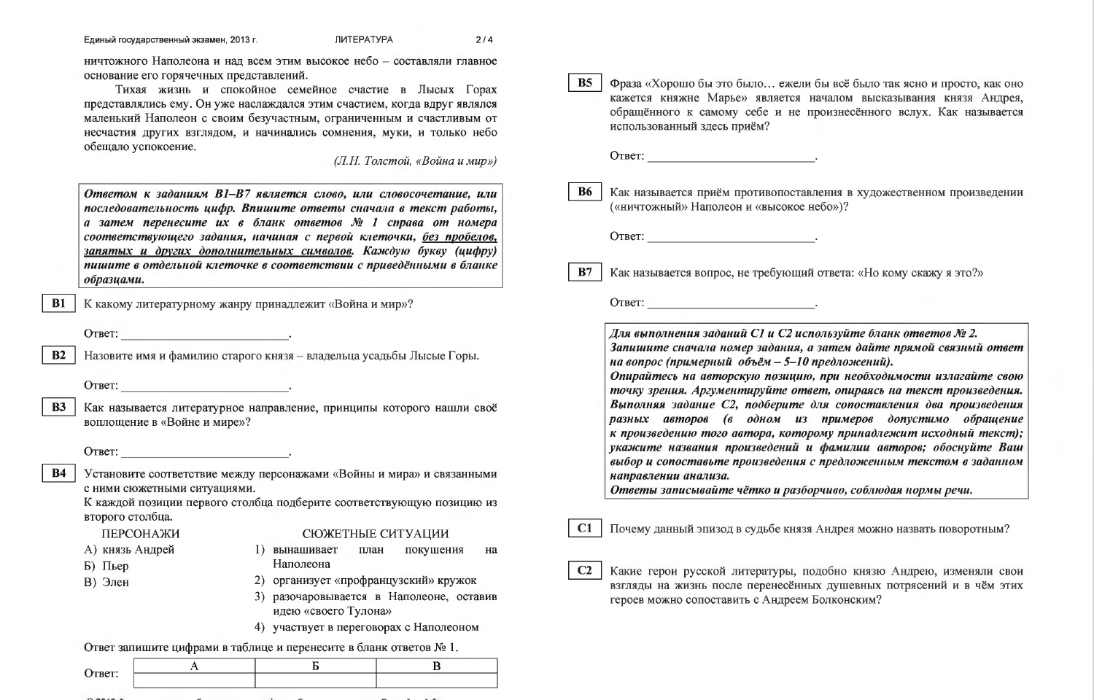ничтожного Наполеона и над всем этим высокое небо - составляли главное основание его горячечных представлений.

Тихая жизнь и спокойное семейное счастие в Лысых Горах представлялись ему. Он уже наслаждался этим счастием, когда вдруг являлся маленький Наполеон с своим безучастным, ограниченным и счастливым от несчастия других взглядом, и начинались сомнения, муки, и только небо обещало успокоение.

(Л.Н. Толстой, «Война и мир»)

Ответом к заданиям В1-В7 является слово, или словосочетание, или последовательность цифр. Впишите ответы сначала в текст работы. а затем перенесите их в бланк ответов № 1 справа от номера соответствующего задания, начиная с первой клеточки, без пробелов, запятых и других дополнительных символов. Каждую букву (цифру) пишите в отдельной клеточке в соответствии с приведёнными в бланке образцами.

 $B1$ 

К какому литературному жанру принадлежит «Война и мир»?

 $B2$ Назовите имя и фамилию старого князя – владельца усадьбы Лысые Горы.

 $O$ TBeT:  $\qquad \qquad \qquad$ 

Как называется литературное направление, принципы которого нашли своё **B3** воплошение в «Войне и мире»?

Ответ: что с последните село с последните село с последните село с последните село с последните село с последните с

Установите соответствие между персонажами «Войны и мира» и связанными **B4** с ними сюжетными ситуациями.

К каждой позиции первого столбца подберите соответствующую позицию из второго столбца.

ПЕРСОНАЖИ

А) князь Андрей

Б) Пьер

В) Элен

СЮЖЕТНЫЕ СИТУАЦИИ

- 1) вынашивает план покушения на Наполеона
	- 2) организует «профранцузский» кружок

3) разочаровывается в Наполеоне, оставив идею «своего Тулона»

4) участвует в переговорах с Наполеоном

Ответ запишите цифрами в таблице и перенесите в бланк ответов № 1.

| <b>TRET:</b> |  |  |
|--------------|--|--|
|              |  |  |

 $B5$ Фраза «Хорошо бы это было... ежели бы всё было так ясно и просто, как оно кажется княжне Марье» является началом высказывания князя Андрея, обращённого к самому себе и не произнесённого вслух. Как называется использованный здесь приём?

Ответ: по последните село в село в село в село в село в село в село в село в село в село в село в село в село в

**B6** Как называется приём противопоставления в художественном произведении («ничтожный» Наполеон и «высокое небо»)?

Ответ: при последните село с при последните село с при последните село с при последните село с при последните с

 $B7$ Как называется вопрос, не требующий ответа: «Но кому скажу я это?»

Ответ: при последните село в село в село в село в село в село в село в село в село в село в село в село в село в с

Для выполнения заданий С1 и С2 используйте бланк ответов № 2. Запишите сначала номер задания, а затем дайте прямой связный ответ на вопрос (примерный объём - 5-10 предложений).

Опирайтесь на авторскую позицию, при необходимости излагайте свою точку зрения. Аргументируйте ответ, опираясь на текст произведения. Выполняя задание С2, подберите для сопоставления два произведения разных авторов (в одном из примеров допустимо обрашение к произведению того автора, которому принадлежит исходный текст); укажите названия произведений и фамилии авторов; обоснуйте Ваш выбор и сопоставьте произведения с предложенным текстом в заданном направлении анализа.

Ответы записывайте чётко и разборчиво, соблюдая нормы речи.

Почему данный эпизод в судьбе князя Андрея можно назвать поворотным?  $C1$ 

 $C2$ Какие герои русской литературы, подобно князю Андрею, изменяли свои взгляды на жизнь после перенесённых душевных потрясений и в чём этих героев можно сопоставить с Андреем Болконским?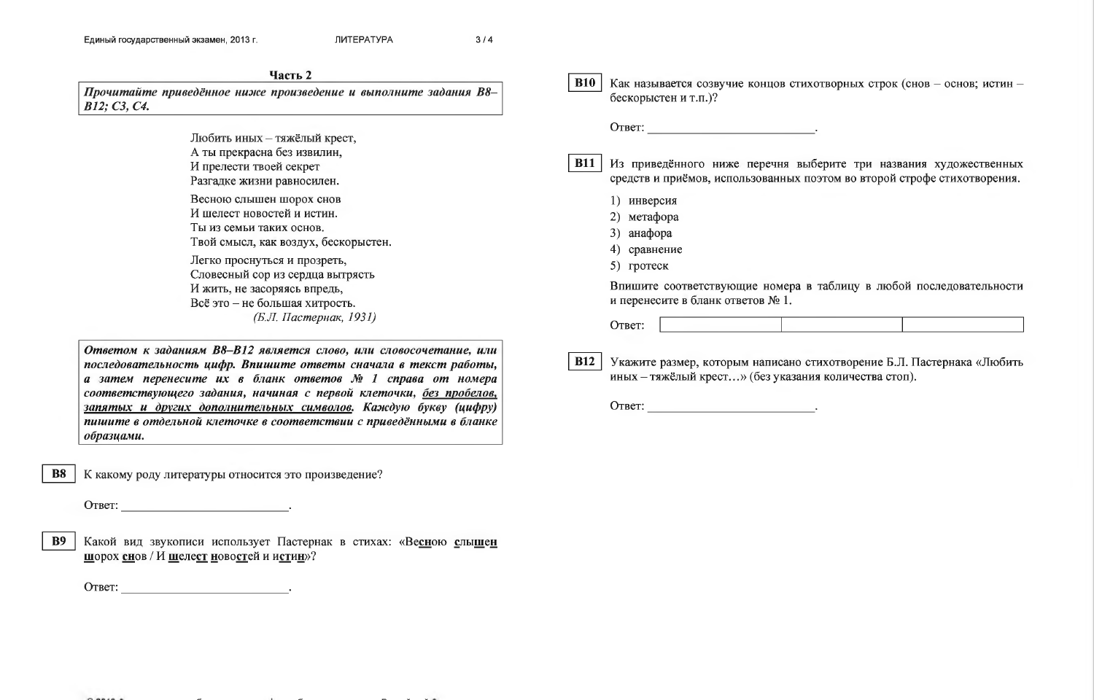Часть 2 **B10** | Как называется созвучие концов стихотворных строк (снов – основ; истин – Прочитайте приведённое ниже произведение и выполните задания В8бескорыстен и т.п.)? B12; C3, C4. Ответ: по последните село в село в село в село в село в село в село в село в село в село в село в село в село в Любить иных - тяжёлый крест, А ты прекрасна без извилин, В11 Из приведённого ниже перечня выберите три названия художественных И прелести твоей секрет средств и приёмов, использованных поэтом во второй строфе стихотворения. Разгадке жизни равносилен. Весною слышен шорох снов 1) инверсия И шелест новостей и истин. 2) метафора Ты из семьи таких основ. 3) анафора Твой смысл, как воздух, бескорыстен. 4) сравнение Легко проснуться и прозреть,  $5)$  гротеск Словесный сор из сердца вытрясть Впишите соответствующие номера в таблицу в любой последовательности И жить, не засоряясь впредь, и перенесите в бланк ответов № 1. Всё это - не большая хитрость. (Б.Л. Пастернак, 1931) Ответ: Ответом к заданиям В8-В12 является слово, или словосочетание, или  $B12$ Укажите размер, которым написано стихотворение Б.Л. Пастернака «Любить последовательность цифр. Впишите ответы сначала в текст работы, иных - тяжёлый крест...» (без указания количества стоп). а затем перенесите их в бланк ответов  $N_2$  1 справа от номера соответствующего задания, начиная с первой клеточки, без пробелов, запятых и других дополнительных символов. Каждую букву (цифру) Ответ: пишите в отдельной клеточке в соответствии с приведёнными в бланке образиами. К какому роду литературы относится это произведение? 

 $3/4$ 

Какой вид звукописи использует Пастернак в стихах: «Весною слышен R9

Ответ: по последните село в село в село в село в село в село в село в село в село в село в село в село в село в

шорох снов / И шелест новостей и истин»?

**B8**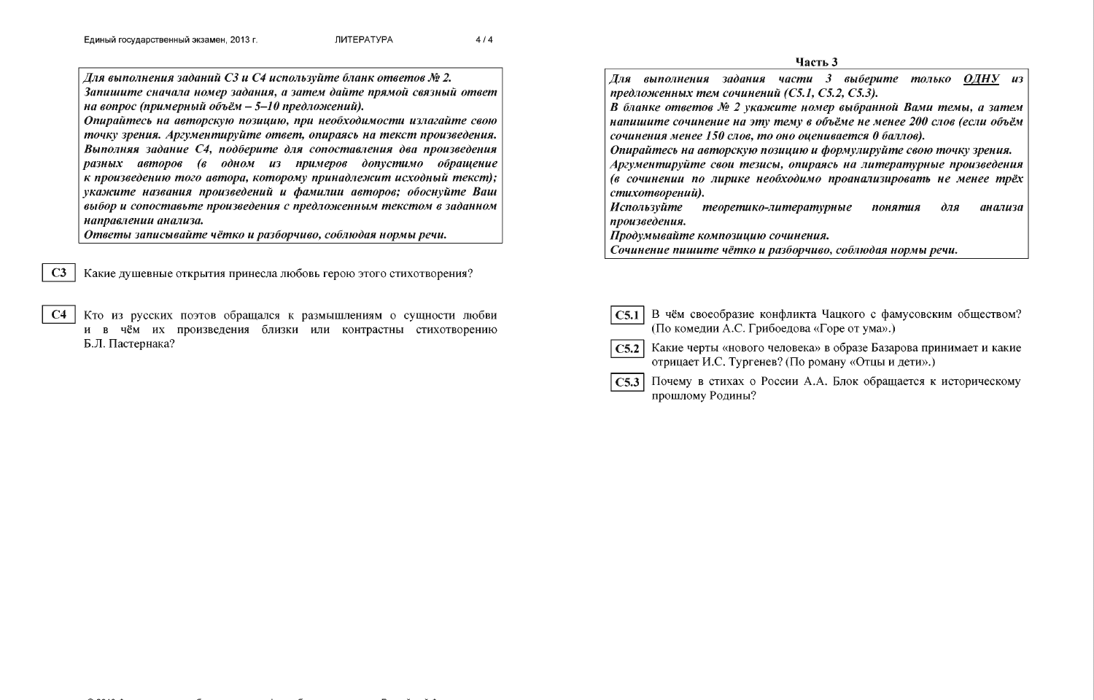Для выполнения заданий СЗ и С4 используйте бланк ответов № 2. Запишите сначала номер задания, а затем дайте прямой связный ответ на вопрос (примерный объём - 5-10 предложений).

 $4/4$ 

Опирайтесь на авторскую позицию, при необходимости излагайте свою точку зрения. Аргументируйте ответ, опираясь на текст произведения. Выполняя задание С4, подберите для сопоставления два произведения разных авторов (в одном из примеров допустимо обращение к произведению того автора, которому принадлежит исходный текст); укажите названия произведений и фамилии авторов; обоснуйте Ваш выбор и сопоставьте произведения с предложенным текстом в заданном направлении анализа.

Ответы записывайте чётко и разборчиво, соблюдая нормы речи.

 $C3$ 

Какие душевные открытия принесла любовь герою этого стихотворения?

Кто из русских поэтов обращался к размышлениям о сущности любви  $C4$ и в чём их произведения близки или контрастны стихотворению Б.Л. Пастернака?

Для выполнения задания части 3 выберите только ОДНУ из предложенных тем сочинений (С5.1, С5.2, С5.3).

В бланке ответов № 2 укажите номер выбранной Вами темы, а затем напишите сочинение на эту тему в объёме не менее 200 слов (если объём сочинения менее 150 слов, то оно оценивается 0 баллов).

Опирайтесь на авторскую позицию и формулируйте свою точку зрения. Аргументируйте свои тезисы, опираясь на литературные произведения (в сочинении по лирике необходимо проанализировать не менее трёх стихотворений).

Используйте теоретико-литературные понятия  $\partial \mathcal{A}$ я анализа произведения.

Продумывайте композицию сочинения.

Сочинение пишите чётко и разборчиво, соблюдая нормы речи.

|  | С5.1 В чём своеобразие конфликта Чацкого с фамусовским обществом? |  |  |  |
|--|-------------------------------------------------------------------|--|--|--|
|  | (По комедии А.С. Грибоедова «Горе от ума».)                       |  |  |  |

 $|C5.2|$  Какие черты «нового человека» в образе Базарова принимает и какие отрицает И.С. Тургенев? (По роману «Отцы и дети».)

Почему в стихах о России А.А. Блок обращается к историческому  $|C5.3|$ прошлому Родины?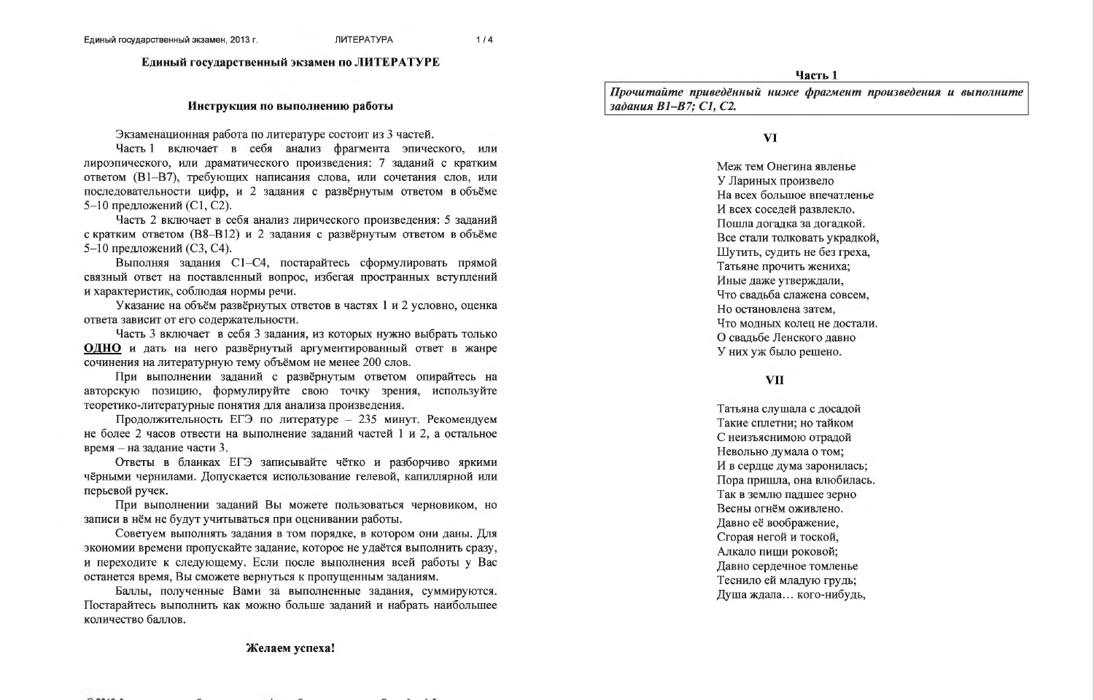Единый государственный экзамен по ЛИТЕРАТУРЕ

### Инструкция по выполнению работы

Экзаменационная работа по литературе состоит из 3 частей.

Часть 1 включает в себя анализ фрагмента эпического, или лироэпического, или драматического произведения: 7 заданий с кратким ответом (B1-B7), требующих написания слова, или сочетания слов, или последовательности цифр, и 2 задания с развёрнутым ответом в объёме 5-10 предложений (С1, С2).

Часть 2 включает в себя анализ лирического произведения: 5 заданий с кратким ответом (B8-B12) и 2 задания с развёрнутым ответом в объёме 5-10 предложений (СЗ, С4).

Выполняя задания С1-С4, постарайтесь сформулировать прямой связный ответ на поставленный вопрос, избегая пространных вступлений и характеристик, соблюдая нормы речи.

Указание на объём развёрнутых ответов в частях 1 и 2 условно, оценка ответа зависит от его содержательности.

Часть 3 включает в себя 3 задания, из которых нужно выбрать только ОДНО и дать на него развёрнутый аргументированный ответ в жанре сочинения на литературную тему объёмом не менее 200 слов.

При выполнении заданий с развёрнутым ответом опирайтесь на авторскую позицию, формулируйте свою точку зрения, используйте теоретико-литературные понятия для анализа произведения.

Продолжительность ЕГЭ по литературе - 235 минут. Рекомендуем не более 2 часов отвести на выполнение заданий частей 1 и 2, а остальное время - на задание части 3.

Ответы в бланках ЕГЭ записывайте чётко и разборчиво яркими чёрными чернилами. Допускается использование гелевой, капиллярной или перьевой ручек.

При выполнении заданий Вы можете пользоваться черновиком, но записи в нём не будут учитываться при оценивании работы.

Советуем выполнять задания в том порядке, в котором они даны. Для экономии времени пропускайте задание, которое не удаётся выполнить сразу, и переходите к следующему. Если после выполнения всей работы у Вас останется время, Вы сможете вернуться к пропущенным заданиям.

Баллы, полученные Вами за выполненные задания, суммируются. Постарайтесь выполнить как можно больше заланий и набрать наибольшее количество баллов.

### Желаем успеха!

Часть 1

Прочитайте приведённый ниже фрагмент произведения и выполните задания В1-В7; С1, С2.

# **VI**

Меж тем Онегина явленье У Лариных произвело На всех большое впечатленье И всех соседей развлекло. Пошла догалка за догадкой. Все стали толковать украдкой. Шутить, судить не без греха, Татьяне прочить жениха; Иные даже утверждали, Что свадьба слажена совсем, Но остановлена затем. Что модных колец не достали. О свальбе Ленского лавно У них уж было решено.

# **VII**

Татьяна слушала с досадой Такие сплетни; но тайком С неизъяснимою отрадой Невольно думала о том; И в сердце дума заронилась; Пора пришла, она влюбилась. Так в землю падшее зерно Весны огнём оживлено. Давно её воображение. Сгорая негой и тоской, Алкало пищи роковой; Лавно сердечное томленье Теснило ей младую грудь; Душа ждала... кого-нибудь,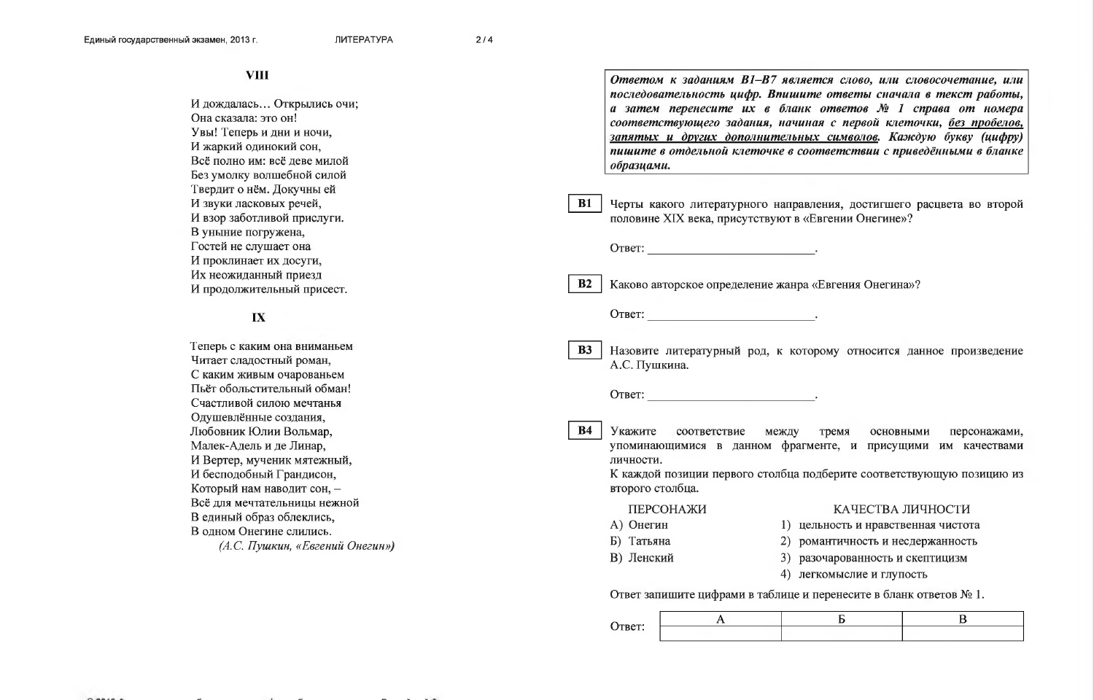## **VIII**

И дождалась... Открылись очи; Она сказала: это он! Увы! Теперь и дни и ночи, И жаркий одинокий сон, Всё полно им: всё деве милой Без умолку волшебной силой Твердит о нём. Докучны ей И звуки ласковых речей, И взор заботливой прислуги. В уныние погружена, Гостей не слушает она И проклинает их досуги, Их неожиданный приезд И продолжительный присест.

# IX

Теперь с каким она вниманьем Читает сладостный роман, С каким живым очарованьем Пьёт обольстительный обман! Счастливой силою мечтанья Одушевлённые создания, Любовник Юлии Вольмар, Малек-Адель и де Линар. И Вертер, мученик мятежный, И бесполобный Гранлисон. Который нам наводит сон, -Всё для мечтательницы нежной В единый образ облеклись, В олном Онегине слились. (А.С. Пушкин, «Евгений Онегин») Ответом к заданиям B1-В7 является слово, или словосочетание, или последовательность цифр. Впишите ответы сначала в текст работы, а затем перенесите их в бланк ответов № 1 справа от номера соответствующего задания, начиная с первой клеточки, без пробелов, запятых и других дополнительных символов. Каждую букву (иифру) пишите в отдельной клеточке в соответствии с приведёнными в бланке образцами.

 $B1$ Черты какого литературного направления, достигшего расцвета во второй половине XIX века, присутствуют в «Евгении Онегине»?

Ответ: При совмести с при собствении с при собствении с при собствении с при собствении с при собствении с при собствении с при собствении с при собствении с при собствении с при собствении с при собствении с при собствени

Каково авторское определение жанра «Евгения Онегина»?  $B2$ 

Ответ: При последните последните последните се при последните последните се при последните се при последните с

**B3** Назовите литературный род, к которому относится данное произведение А.С. Пушкина.

Ответ: При последните при последните при последните при последните при последните при последните при последните п

**B4** Укажите соответствие между тремя основными персонажами, упоминающимися в данном фрагменте, и присущими им качествами личности.

К каждой позиции первого столбца подберите соответствующую позицию из второго столбца.

| ПЕРСОНАЖИ | КАЧЕСТВА ЛИЧНОСТИ                   |
|-----------|-------------------------------------|
| А) Онегин | 1) цельность и нравственная чистота |

- 2) романтичность и несдержанность
- В) Ленский

Б) Татьяна

- 3) разочарованность и скептицизм
- 4) легкомыслие и глупость

Ответ запишите цифрами в таблице и перенесите в бланк ответов № 1.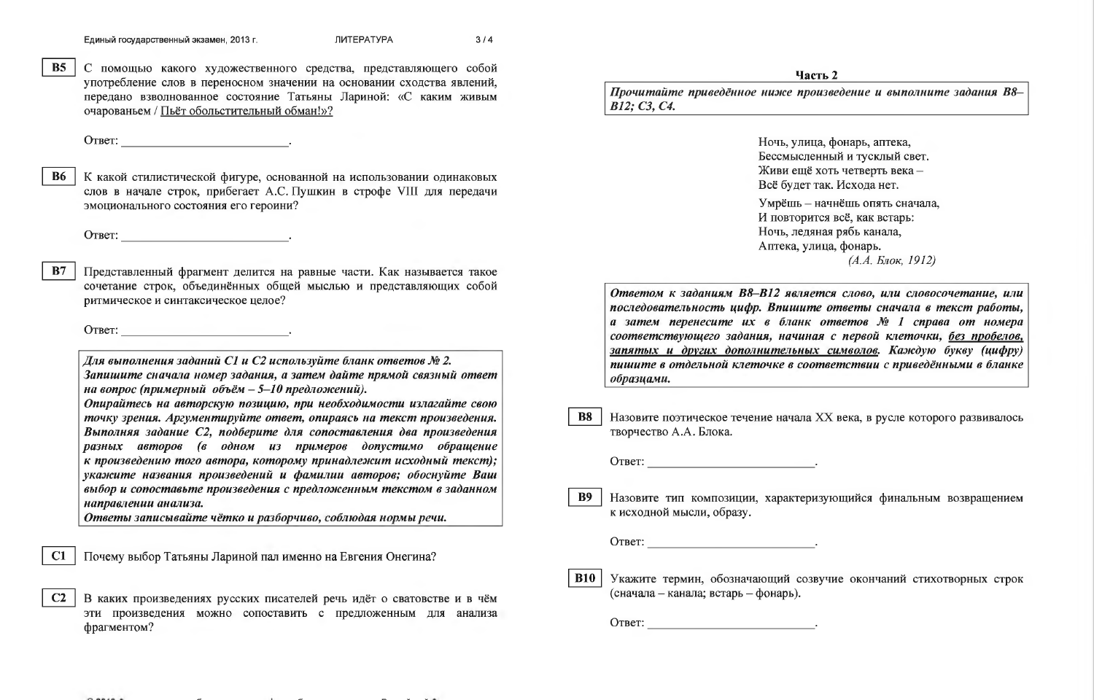С помощью какого художественного средства, представляющего собой **B5** употребление слов в переносном значении на основании сходства явлений, передано взволнованное состояние Татьяны Лариной: «С каким живым очарованьем / Пьёт обольстительный обман!»?

Ответ:

К какой стилистической фигуре, основанной на использовании одинаковых **B6** слов в начале строк, прибегает А.С. Пушкин в строфе VIII для передачи эмоционального состояния его героини?

Ответ: по последните село в село в село в село в село в село в село в село в село в село в село в село в село в

Представленный фрагмент делится на равные части. Как называется такое  $B7$ сочетание строк, объединённых общей мыслью и представляющих собой ритмическое и синтаксическое целое?

OTBeT:

 $C1$ 

Для выполнения заданий С1 и С2 используйте бланк ответов № 2. Запишите сначала номер задания, а затем дайте прямой связный ответ на вопрос (примерный объём - 5-10 предложений).

Опирайтесь на авторскую позицию, при необходимости излагайте свою точку зрения. Аргументируйте ответ, опираясь на текст произведения. Выполняя задание С2, подберите для сопоставления два произведения разных авторов (в одном из примеров допустимо обращение к произведению того автора, которому принадлежит исходный текст); укажите названия произведений и фамилии авторов; обоснуйте Ваш выбор и сопоставьте произведения с предложенным текстом в заданном направлении анализа.

Ответы записывайте чётко и разборчиво, соблюдая нормы речи.

Почему выбор Татьяны Лариной пал именно на Евгения Онегина?

В каких произведениях русских писателей речь идёт о сватовстве и в чём  $C2$ эти произведения можно сопоставить с предложенным для анализа фрагментом?

Прочитайте приведённое ниже произведение и выполните задания В8-B12; C3, C4.

> Ночь, улица, фонарь, аптека, Бессмысленный и тусклый свет. Живи ещё хоть четверть века-Всё будет так. Исхода нет.

Умрёшь - начнёшь опять сначала, И повторится всё, как встарь: Ночь, ледяная рябь канала, Аптека, улица, фонарь.  $(A.A. B now, 1912)$ 

Ответом к заданиям В8-В12 является слово, или словосочетание, или последовательность иифр. Впишите ответы сначала в текст работы. а затем перенесите их в бланк ответов  $N_2$  1 справа от номера соответствующего задания, начиная с первой клеточки, без пробелов, запятых и других дополнительных символов. Каждую букву (шифру) пишите в отдельной клеточке в соответствии с приведёнными в бланке образцами.

Назовите поэтическое течение начала XX века, в русле которого развивалось **B8** творчество А.А. Блока.

Ответ: по последните село в село в село в село в село в село в село в село в село в село в село в село в село в

**B9** Назовите тип композиции, характеризующийся финальным возвращением к исходной мысли, образу.

Ответ: При совмести с последник совмести с при совмести с при совмести с при совмести с при совмести с при совмести с при совмести с при совмести с при совмести с при совмести с при совмести с при совмести с при совмести с

Укажите термин, обозначающий созвучие окончаний стихотворных строк **B10** (сначала - канала; встарь - фонарь).

Ответ: при последните село в село в село в село в село в село в село в село в село в село в село в село в село в с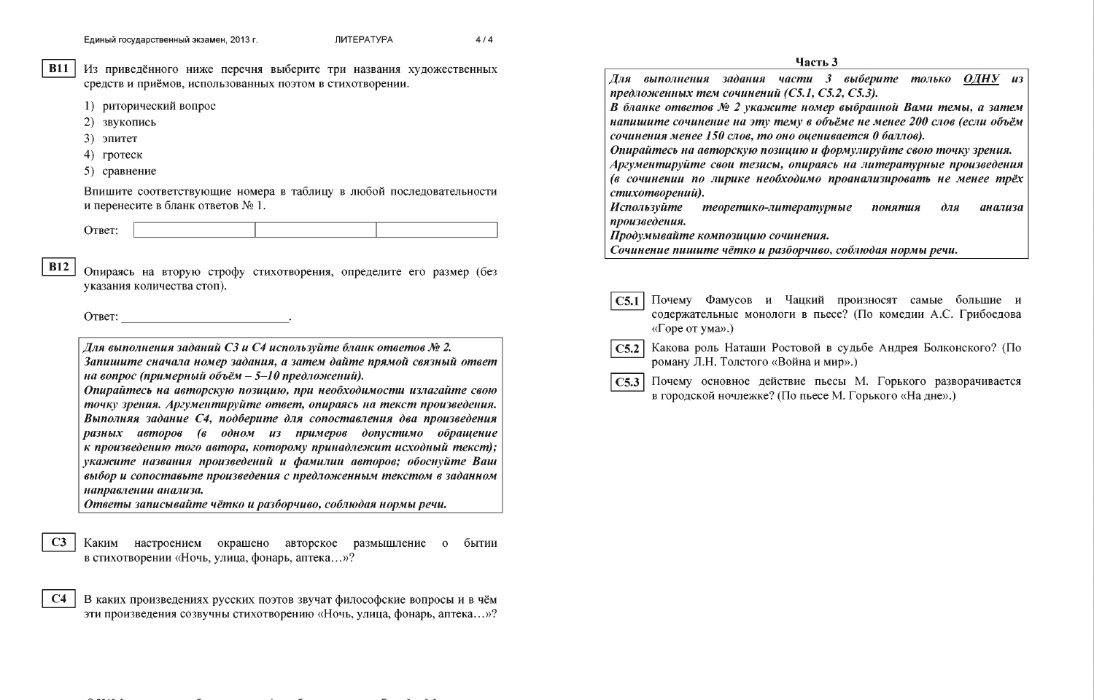Из приведённого ниже перечня выберите три названия художественных средств и приёмов, использованных поэтом в стихотворении.

1) риторический вопрос

- 2) звукопись
- 3) эпитет
- 4) гротеск
- 5) сравнение

Впишите соответствующие номера в таблицу в любой последовательности и перенесите в бланк ответов № 1.

Ответ:

 $B12$ 

 $B11$ 

Опираясь на вторую строфу стихотворения, определите его размер (без указания количества стоп).

Ответ:

Для выполнения заданий СЗ и С4 используйте бланк ответов № 2. Запишите сначала номер задания, а затем дайте прямой связный ответ на вопрос (примерный объём - 5-10 предложений).

Опирайтесь на авторскую позицию, при необходимости излагайте свою точку зрения. Аргументируйте ответ, опираясь на текст произведения. Выполняя задание С4, подберите для сопоставления два произведения разных авторов (в одном из примеров допустимо обращение к произведению того автора, которому принадлежит исходный текст); укажите названия произведений и фамилии авторов; обоснуйте Ваш выбор и сопоставьте произведения с предложенным текстом в заданном направлении анализа.

Ответы записывайте чётко и разборчиво, соблюдая нормы речи.

 $C3$ 

Каким настроением окрашено авторское размышление о бытии в стихотворении «Ночь, улица, фонарь, аптека...»?

 $C4$ В каких произведениях русских поэтов звучат философские вопросы и в чём эти произведения созвучны стихотворению «Ночь, улица, фонарь, аптека...»? Для выполнения задания части 3 выберите только ОДНУ из предложенных тем сочинений (С5.1, С5.2, С5.3). В бланке ответов № 2 укажите номер выбранной Вами темы, а затем

напишите сочинение на эту тему в объёме не менее 200 слов (если объём сочинения менее 150 слов, то оно оценивается 0 баллов).

Опирайтесь на авторскую позицию и формулируйте свою точку зрения. Аргументируйте свои тезисы, опираясь на литературные произведения (в сочинении по лирике необходимо проанализировать не менее трёх

стихотворений). Используйте теоретико-литературные понятия  $\partial \mathcal{A} \mathcal{A}$ анализа произведения.

Продумывайте композицию сочинения.

Сочинение пишите чётко и разборчиво, соблюдая нормы речи.

- С5.1 Почему Фамусов и Чацкий произносят самые большие и содержательные монологи в пьесе? (По комедии А.С. Грибоедова  $\langle \sqrt{\text{C}C}$  or  $\langle \text{VMA} \rangle$ .)
- С5.2 Какова роль Наташи Ростовой в судьбе Андрея Болконского? (По роману Л.Н. Толстого «Война и мир».)
- Почему основное действие пьесы М. Горького разворачивается  $|C5.3|$ в городской ночлежке? (По пьесе М. Горького «На дне».)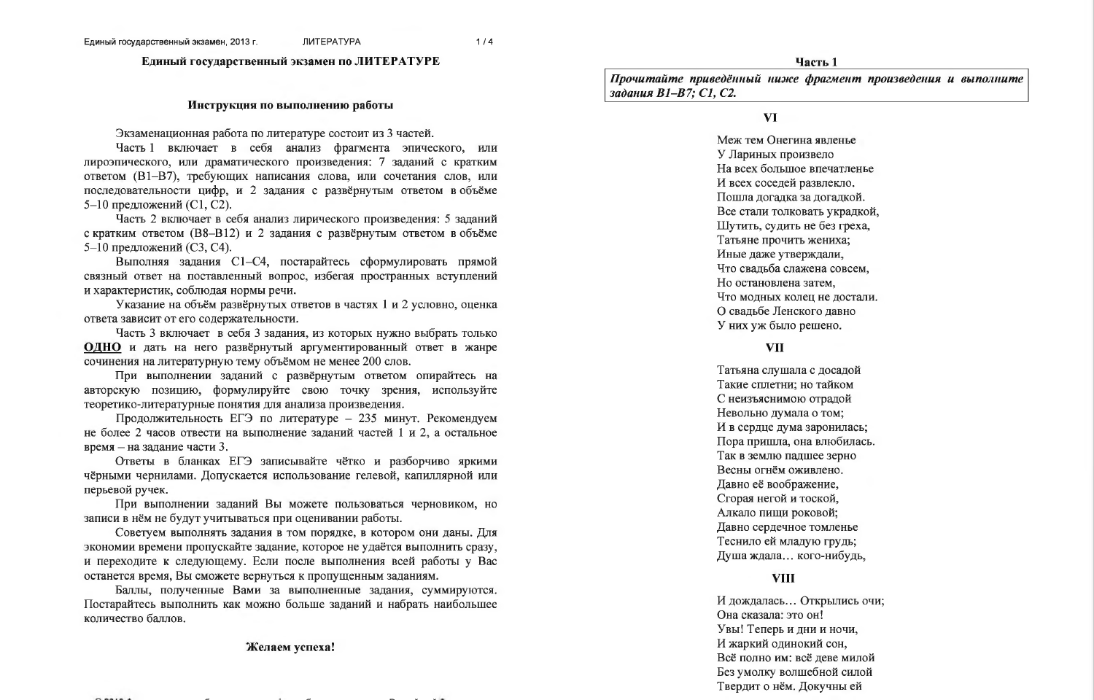Единый государственный экзамен по ЛИТЕРАТУРЕ

**ЛИТЕРАТУРА** 

#### Инструкция по выполнению работы

Экзаменационная работа по литературе состоит из 3 частей.

Часть 1 включает в себя анализ фрагмента эпического, или лироэпического, или драматического произведения: 7 заданий с кратким ответом (B1-B7), требующих написания слова, или сочетания слов, или последовательности цифр, и 2 задания с развёрнутым ответом в объёме 5-10 предложений (С1, С2).

Часть 2 включает в себя анализ лирического произведения: 5 заданий с кратким ответом (В8-В12) и 2 задания с развёрнутым ответом в объёме 5-10 предложений (СЗ, С4).

Выполняя задания С1-С4, постарайтесь сформулировать прямой связный ответ на поставленный вопрос, избегая пространных вступлений и характеристик, соблюдая нормы речи.

Указание на объём развёрнутых ответов в частях 1 и 2 условно, оценка ответа зависит от его содержательности.

Часть 3 включает в себя 3 задания, из которых нужно выбрать только ОДНО и дать на него развёрнутый аргументированный ответ в жанре сочинения на литературную тему объёмом не менее 200 слов.

При выполнении заданий с развёрнутым ответом опирайтесь на авторскую позицию, формулируйте свою точку зрения, используйте теоретико-литературные понятия для анализа произведения.

Продолжительность ЕГЭ по литературе - 235 минут. Рекомендуем не более 2 часов отвести на выполнение заданий частей 1 и 2, а остальное время - на задание части 3.

Ответы в бланках ЕГЭ записывайте чётко и разборчиво яркими чёрными чернилами. Допускается использование гелевой, капиллярной или перьевой ручек.

При выполнении заданий Вы можете пользоваться черновиком, но записи в нём не будут учитываться при оценивании работы.

Советуем выполнять задания в том порядке, в котором они даны. Для экономии времени пропускайте задание, которое не удаётся выполнить сразу, и переходите к следующему. Если после выполнения всей работы у Вас останется время. Вы сможете вернуться к пропущенным заданиям.

Баллы, полученные Вами за выполненные задания, суммируются. Постарайтесь выполнить как можно больше заданий и набрать наибольшее количество баллов.

### Желаем успеха!

Часть 1

Прочитайте приведённый ниже фрагмент произведения и выполните задания В1-В7; С1, С2.

## **VI**

Меж тем Онегина явленье У Лариных произвело На всех большое впечатленье И всех соседей развлекло. Пошла догалка за догадкой. Все стали толковать украдкой, Шутить, судить не без греха, Татьяне прочить жениха; Иные даже утверждали, Что свадьба слажена совсем, Но остановлена затем. Что модных колец не достали. О свадьбе Ленского давно У них уж было решено.

# **VII**

Татьяна слушала с досадой Такие сплетни; но тайком С неизъяснимою отрадой Невольно думала о том; И в сердце дума заронилась; Пора пришла, она влюбилась. Так в землю падшее зерно Весны огнём оживлено. Давно её воображение, Сгорая негой и тоской, Алкало пищи роковой; Давно сердечное томленье Теснило ей младую грудь; Душа ждала... кого-нибудь,

# **VIII**

И дождалась... Открылись очи: Она сказала: это он! Увы! Теперь и дни и ночи, И жаркий одинокий сон, Всё полно им: всё деве милой Без умолку волшебной силой Твердит о нём. Докучны ей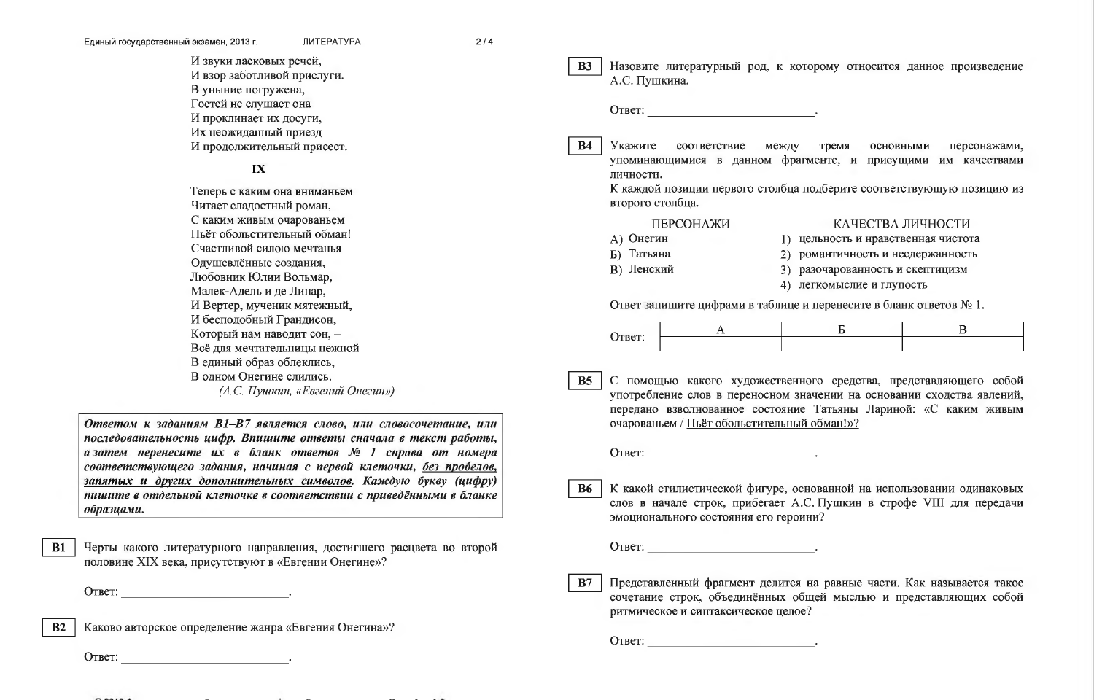$\sim$   $\sim$ 

И звуки ласковых речей, И взор заботливой прислуги. В уныние погружена, Гостей не слушает она И проклинает их досуги, Их неожиданный приезд И продолжительный присест.

# $\mathbf{I} \mathbf{X}$

Теперь с каким она вниманьем Читает сладостный роман, С каким живым очарованьем Пьёт обольстительный обман! Счастливой силою мечтанья Одушевлённые создания, Любовник Юлии Вольмар, Малек-Адель и де Линар, И Вертер, мученик мятежный, И бесподобный Грандисон, Который нам наводит сон, -Всё для мечтательницы нежной В единый образ облеклись. В одном Онегине слились. (А.С. Пушкин, «Евгений Онегин»)

Ответом к заданиям В1-В7 является слово, или словосочетание, последовательность цифр. Впишите ответы сначала в текст рабо а затем перенесите их в бланк ответов № 1 справа от нол соответствующего задания, начиная с первой клеточки, без пробелов запятых и других дополнительных символов. Каждую букву (цифру) пишите в отдельной клеточке в соответствии с приведёнными в бланке образиами.

Черты какого литературного направления, достигшего расцвета во второй  $B1$ половине XIX века, присутствуют в «Евгении Онегине»?

Ответ: что с последните село с последните село с последните село с последните село с последните село с последните с

 $R<sub>2</sub>$ 

Каково авторское определение жанра «Евгения Онегина»?

Ответ: по последните село в село с последните село с последните село с по последните село с по село с по село с

| 214                 |                                                       |                                                                                                                                                                                           |                                                                                                       |                                                                                                    |  |  |  |
|---------------------|-------------------------------------------------------|-------------------------------------------------------------------------------------------------------------------------------------------------------------------------------------------|-------------------------------------------------------------------------------------------------------|----------------------------------------------------------------------------------------------------|--|--|--|
|                     | B <sub>3</sub><br>А.С. Пушкина.                       | Назовите литературный род, к которому относится данное произведение                                                                                                                       |                                                                                                       |                                                                                                    |  |  |  |
|                     |                                                       | Ответ: при последните село в последните село в село в село в село в село в село в село в село в село в село в                                                                             |                                                                                                       |                                                                                                    |  |  |  |
|                     | <b>B4</b><br>Укажите<br>личности.<br>второго столбца. | соответствие<br>упоминающимися в данном фрагменте, и присущими им качествами                                                                                                              | тремя<br>между                                                                                        | основными<br>персонажами,<br>К каждой позиции первого столбца подберите соответствующую позицию из |  |  |  |
|                     |                                                       | ПЕРСОНАЖИ                                                                                                                                                                                 | КАЧЕСТВА ЛИЧНОСТИ                                                                                     |                                                                                                    |  |  |  |
|                     | А) Онегин                                             |                                                                                                                                                                                           | 1) цельность и нравственная чистота                                                                   |                                                                                                    |  |  |  |
|                     | Б) Татьяна                                            |                                                                                                                                                                                           | 2) романтичность и несдержанность<br>3) разочарованность и скептицизм<br>легкомыслие и глупость<br>4) |                                                                                                    |  |  |  |
|                     | В) Ленский                                            |                                                                                                                                                                                           |                                                                                                       |                                                                                                    |  |  |  |
|                     |                                                       |                                                                                                                                                                                           |                                                                                                       |                                                                                                    |  |  |  |
|                     |                                                       | Ответ запишите цифрами в таблице и перенесите в бланк ответов № 1.                                                                                                                        |                                                                                                       |                                                                                                    |  |  |  |
|                     | Ответ:                                                | A                                                                                                                                                                                         | Б                                                                                                     | B                                                                                                  |  |  |  |
| или<br>оты,<br>мера | <b>B5</b><br>Ответ:                                   | употребление слов в переносном значении на основании сходства явлений,<br>передано взволнованное состояние Татьяны Лариной: «С каким живым<br>очарованьем / Пьёт обольстительный обман!»? |                                                                                                       | С помощью какого художественного средства, представляющего собой                                   |  |  |  |
| $\rho$ nne          |                                                       |                                                                                                                                                                                           |                                                                                                       |                                                                                                    |  |  |  |

К какой стилистической фигуре, основанной на использовании одинаковых **B6** слов в начале строк, прибегает А.С. Пушкин в строфе VIII для передачи эмоционального состояния его героини?

Ответ: по последните село в село с последните село с последните село с по последните село с по село с по село с

Представленный фрагмент делится на равные части. Как называется такое  $B7$ сочетание строк, объединённых общей мыслью и представляющих собой ритмическое и синтаксическое целое?

Ответ: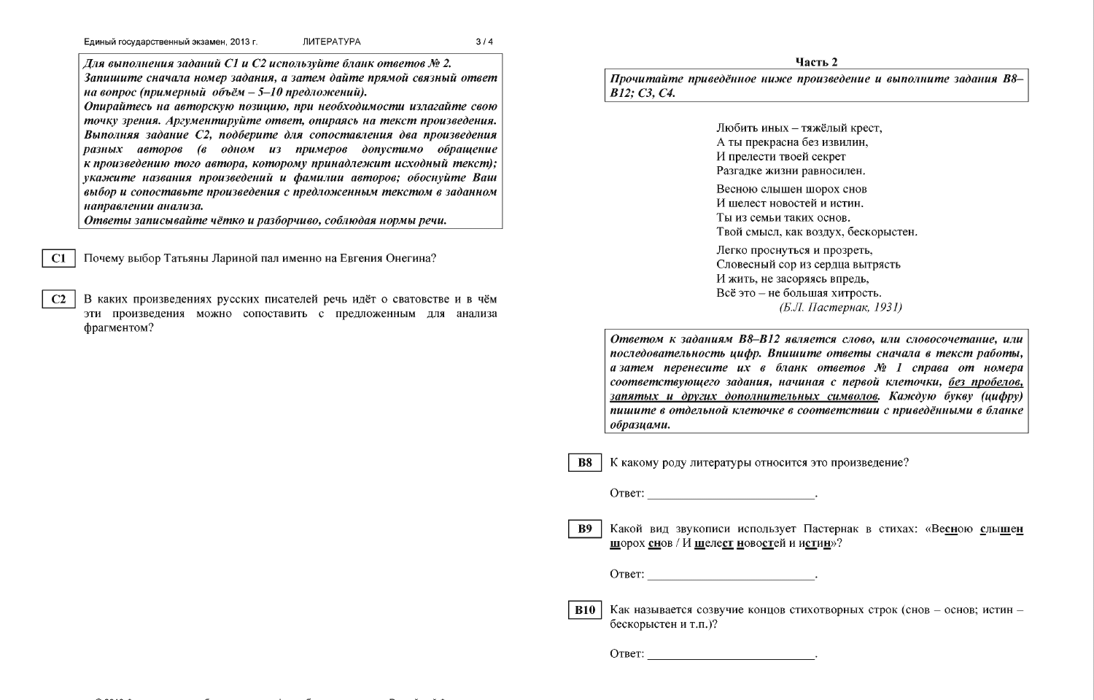Для выполнения заданий С1 и С2 используйте бланк ответов № 2. Запишите сначала номер задания, а затем дайте прямой связный ответ на вопрос (примерный объём - 5-10 предложений).

Опирайтесь на авторскую позицию, при необходимости излагайте свою точку зрения. Аргументируйте ответ, опираясь на текст произведения. Выполняя задание С2, подберите для сопоставления два произведения разных авторов (в одном из примеров допустимо обращение к произведению того автора, которому принадлежит исходный текст); укажите названия произведений и фамилии авторов; обоснуйте Ваш выбор и сопоставьте произведения с предложенным текстом в заданном направлении анализа.

Ответы записывайте чётко и разборчиво, соблюдая нормы речи.

Почему выбор Татьяны Лариной пал именно на Евгения Онегина?

 $C1$ 

В каких произведениях русских писателей речь идёт о сватовстве и в чём  $C2$ эти произвеления можно сопоставить с предложенным для анализа фрагментом?

Прочитайте приведённое ниже произведение и выполните задания В8-B12: C3. C4.

> Любить иных - тяжёлый крест, А ты прекрасна без извилин, И прелести твоей секрет Разгадке жизни равносилен. Весною слышен шорох снов И шелест новостей и истин. Ты из семьи таких основ. Твой смысл, как воздух, бескорыстен. Легко проснуться и прозреть, Словесный сор из сердца вытрясть И жить, не засоряясь впредь, Всё это - не большая хитрость. (Б.Л. Пастернак, 1931)

Ответом к заданиям В8-В12 является слово, или словосочетание, или последовательность цифр. Впишите ответы сначала в текст работы, а затем перенесите их в бланк ответов  $N_2$  1 справа от номера соответствующего задания, начиная с первой клеточки, без пробелов, запятых и других дополнительных символов. Каждую букву (цифру) пишите в отдельной клеточке в соответствии с приведёнными в бланке образиами.

**B8** 

К какому роду литературы относится это произведение?

Ответ: на последните село в село в село в село в село в село в село в село в село в село в село в село в село в

Какой вид звукописи использует Пастернак в стихах: «Весною слышен **B**9 шорох снов / И шелест новостей и истин»?

Ответ: на последните село в село в село в село в село в село в село в село в село в село в село в село в село в с

**B10** | Как называется созвучие концов стихотворных строк (снов – основ; истин – бескорыстен и т.п.)?

and the contract of the contract of the Ответ: